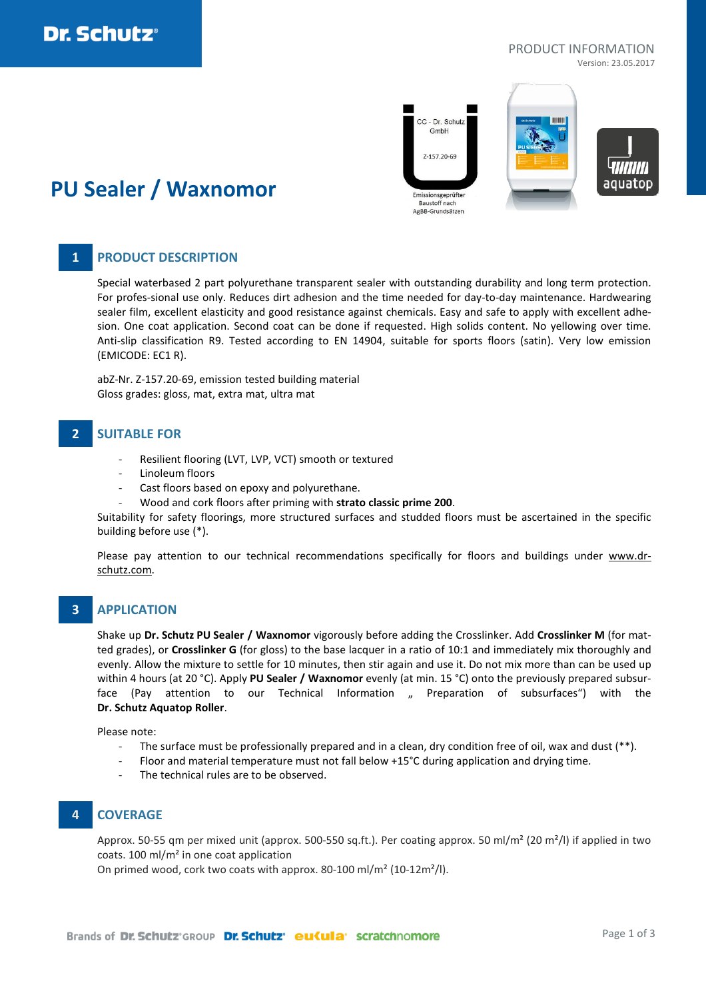### PRODUCT INFORMATION

Version: 23.05.2017



# **PU Sealer / Waxnomor**

## **1 PRODUCT DESCRIPTION**

Special waterbased 2 part polyurethane transparent sealer with outstanding durability and long term protection. For profes-sional use only. Reduces dirt adhesion and the time needed for day-to-day maintenance. Hardwearing sealer film, excellent elasticity and good resistance against chemicals. Easy and safe to apply with excellent adhesion. One coat application. Second coat can be done if requested. High solids content. No yellowing over time. Anti-slip classification R9. Tested according to EN 14904, suitable for sports floors (satin). Very low emission (EMICODE: EC1 R).

abZ-Nr. Z-157.20-69, emission tested building material Gloss grades: gloss, mat, extra mat, ultra mat

## **2 SUITABLE FOR**

- Resilient flooring (LVT, LVP, VCT) smooth or textured
- Linoleum floors
- Cast floors based on epoxy and polyurethane.
- Wood and cork floors after priming with **strato classic prime 200**.

Suitability for safety floorings, more structured surfaces and studded floors must be ascertained in the specific building before use (\*).

Please pay attention to our technical recommendations specifically for floors and buildings under [www.dr](http://www.dr-schutz.com/)[schutz.com.](http://www.dr-schutz.com/)

### **3 APPLICATION**

Shake up **Dr. Schutz PU Sealer / Waxnomor** vigorously before adding the Crosslinker. Add **Crosslinker M** (for matted grades), or **Crosslinker G** (for gloss) to the base lacquer in a ratio of 10:1 and immediately mix thoroughly and evenly. Allow the mixture to settle for 10 minutes, then stir again and use it. Do not mix more than can be used up within 4 hours (at 20 °C). Apply **PU Sealer / Waxnomor** evenly (at min. 15 °C) onto the previously prepared subsurface (Pay attention to our Technical Information " Preparation of subsurfaces") with the **Dr. Schutz Aquatop Roller**.

Please note:

- The surface must be professionally prepared and in a clean, dry condition free of oil, wax and dust  $(**)$ .
- Floor and material temperature must not fall below +15°C during application and drying time.
- The technical rules are to be observed.

## **4 COVERAGE**

Approx. 50-55 qm per mixed unit (approx. 500-550 sq.ft.). Per coating approx. 50 ml/m² (20 m²/l) if applied in two coats. 100 ml/m² in one coat application

On primed wood, cork two coats with approx. 80-100 ml/m² (10-12m²/l).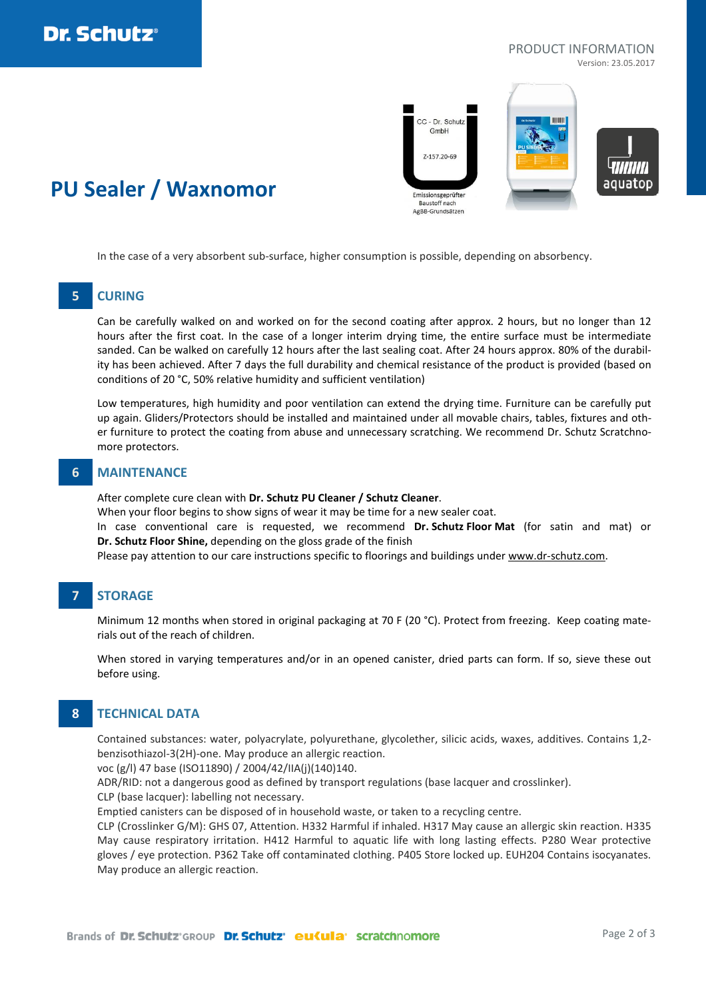

## PRODUCT INFORMATION

Version: 23.05.2017



## **PU Sealer / Waxnomor**

In the case of a very absorbent sub-surface, higher consumption is possible, depending on absorbency.

#### **5 CURING**

Can be carefully walked on and worked on for the second coating after approx. 2 hours, but no longer than 12 hours after the first coat. In the case of a longer interim drying time, the entire surface must be intermediate sanded. Can be walked on carefully 12 hours after the last sealing coat. After 24 hours approx. 80% of the durability has been achieved. After 7 days the full durability and chemical resistance of the product is provided (based on conditions of 20 °C, 50% relative humidity and sufficient ventilation)

Low temperatures, high humidity and poor ventilation can extend the drying time. Furniture can be carefully put up again. Gliders/Protectors should be installed and maintained under all movable chairs, tables, fixtures and other furniture to protect the coating from abuse and unnecessary scratching. We recommend Dr. Schutz Scratchnomore protectors.

#### **6 MAINTENANCE**

After complete cure clean with **Dr. Schutz PU Cleaner / Schutz Cleaner**.

When your floor begins to show signs of wear it may be time for a new sealer coat.

In case conventional care is requested, we recommend **Dr. Schutz Floor Mat** (for satin and mat) or **Dr. Schutz Floor Shine,** depending on the gloss grade of the finish

Please pay attention to our care instructions specific to floorings and buildings under [www.dr-schutz.com.](http://www.dr-schutz.com/)

## **7 STORAGE**

Minimum 12 months when stored in original packaging at 70 F (20 °C). Protect from freezing. Keep coating materials out of the reach of children.

When stored in varying temperatures and/or in an opened canister, dried parts can form. If so, sieve these out before using.

## **8 TECHNICAL DATA**

Contained substances: water, polyacrylate, polyurethane, glycolether, silicic acids, waxes, additives. Contains 1,2 benzisothiazol-3(2H)-one. May produce an allergic reaction.

voc (g/l) 47 base (ISO11890) / 2004/42/IIA(j)(140)140.

ADR/RID: not a dangerous good as defined by transport regulations (base lacquer and crosslinker).

CLP (base lacquer): labelling not necessary.

Emptied canisters can be disposed of in household waste, or taken to a recycling centre.

CLP (Crosslinker G/M): GHS 07, Attention. H332 Harmful if inhaled. H317 May cause an allergic skin reaction. H335 May cause respiratory irritation. H412 Harmful to aquatic life with long lasting effects. P280 Wear protective gloves / eye protection. P362 Take off contaminated clothing. P405 Store locked up. EUH204 Contains isocyanates. May produce an allergic reaction.